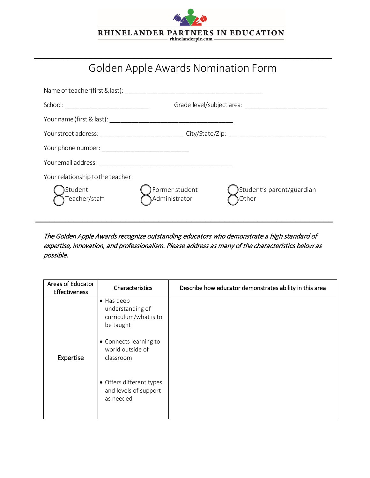

## Golden Apple Awards Nomination Form

 $\_$ 

| Name of teacher (first & last): Name of teacher (first & last):                                     |                                   |                                    |  |
|-----------------------------------------------------------------------------------------------------|-----------------------------------|------------------------------------|--|
|                                                                                                     |                                   |                                    |  |
|                                                                                                     |                                   |                                    |  |
| Your street address: _________________________________ City/State/Zip: ____________________________ |                                   |                                    |  |
|                                                                                                     |                                   |                                    |  |
|                                                                                                     |                                   |                                    |  |
| Your relationship to the teacher:<br>Student<br>,<br>)Teacher/staff                                 | Former student (<br>Administrator | Student's parent/guardian<br>Other |  |

The Golden Apple Awards recognize outstanding educators who demonstrate a high standard of expertise, innovation, and professionalism. Please address as many of the characteristics below as possible.

| Areas of Educator<br><b>Effectiveness</b> | Characteristics                                                              | Describe how educator demonstrates ability in this area |
|-------------------------------------------|------------------------------------------------------------------------------|---------------------------------------------------------|
|                                           | $\bullet$ Has deep<br>understanding of<br>curriculum/what is to<br>be taught |                                                         |
| Expertise                                 | • Connects learning to<br>world outside of<br>classroom                      |                                                         |
|                                           | • Offers different types<br>and levels of support<br>as needed               |                                                         |